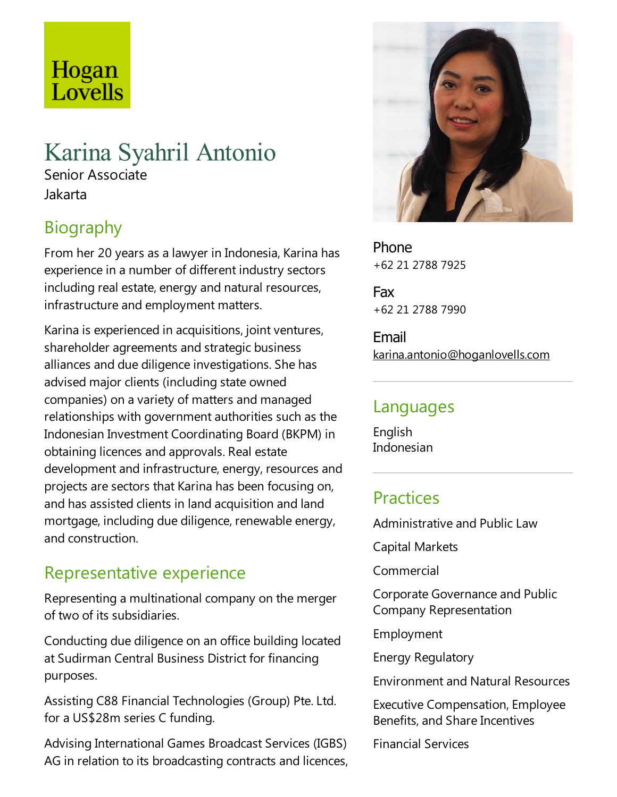# Hogan Lovells

## Karina Syahril Antonio

Senior Associate Jakarta

## Biography

From her 20 years as alawyer in Indonesia, Karina has experience in a number of different industry sectors including real estate, energy and natural resources, infrastructure and employment matters.

Karina is experienced in acquisitions, joint ventures, shareholder agreements and strategic business alliances and due diligence investigations. She has advised major clients (including state owned companies) on avariety of matters and managed relationships with government authorities such as the Indonesian Investment Coordinating Board (BKPM) in obtaining licences and approvals. Real estate development and infrastructure, energy, resources and projects are sectors that Karina has been focusing on, and has assisted clients in land acquisition and land mortgage, including due diligence, renewable energy, and construction.

## Representative experience

Representing a multinational company on the merger of two of its subsidiaries.

Conducting due diligence on an office building located at Sudirman Central Business District for financing purposes.

Assisting C88 Financial Technologies (Group) Pte. Ltd. for a US\$28m series C funding.

Advising International Games Broadcast Services (IGBS) AG in relation to its broadcasting contracts and licences,



Phone +62 21 2788 7925

Fax +62 21 2788 7990

Email karina.antonio@hoganlovells.com

#### Languages

English Indonesian

### Practices

Administrative and Public Law

Capital Markets

Commercial

Corporate Governance and Public Company Representation

Employment

Energy Regulatory

Environmentand Natural Resources

Executive Compensation,Employee Benefits, and Share Incentives

Financial Services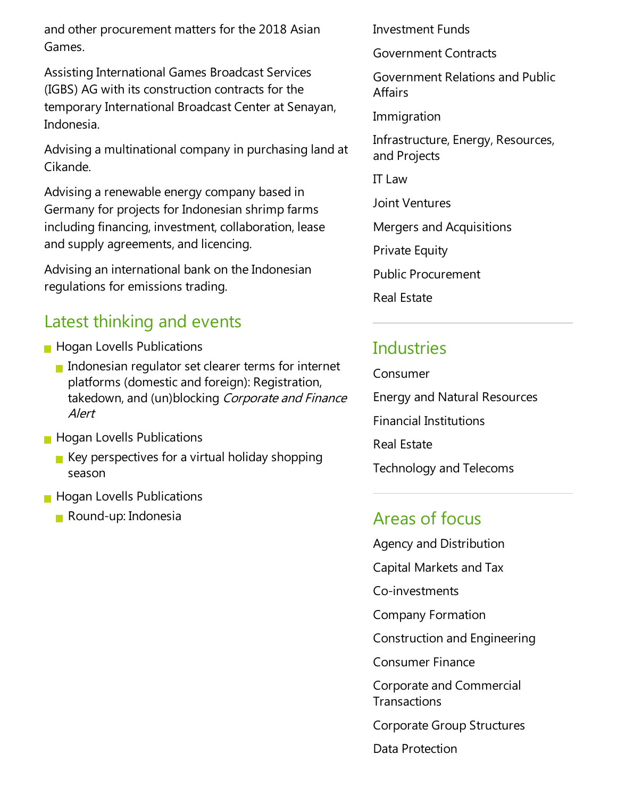and other procurement matters for the 2018 Asian Games.

Assisting International Games Broadcast Services (IGBS) AG with its construction contracts for the temporary International Broadcast Center at Senayan, Indonesia.

Advising a multinational company in purchasing land at Cikande.

Advising a renewable energy company based in Germany for projects for Indonesian shrimp farms including financing, investment, collaboration, lease and supply agreements, and licencing.

Advising an international bank on the Indonesian regulations for emissions trading.

#### Latest thinking and events

- **Hogan Lovells Publications** 
	- Indonesian regulator set clearer terms for internet platforms (domesticand foreign): Registration, takedown, and (un)blocking Corporate and Finance Alert
- **Hogan Lovells Publications** 
	- $\blacksquare$  Key perspectives for a virtual holiday shopping season
- **Hogan Lovells Publications** 
	- Round-up: Indonesia

Investment Funds

Government Contracts

Government Relations and Public **Affairs** 

Immigration

Infrastructure, Energy, Resources, and Projects

IT Law

Joint Ventures

Mergers and Acquisitions

**Private Equity** 

Public Procurement

Real Estate

### Industries

Consumer Energy and Natural Resources Financial Institutions Real Estate Technology and Telecoms

#### Areas of focus

- Agency and Distribution
- Capital Markets and Tax

Co-investments

Company Formation

Construction and Engineering

Consumer Finance

Corporate and Commercial **Transactions** 

Corporate Group Structures

Data Protection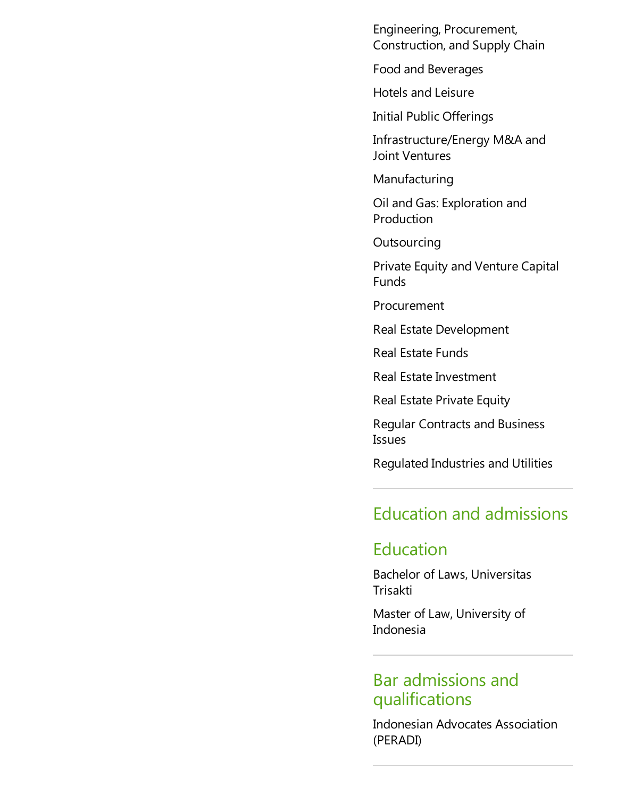Engineering, Procurement, Construction,and Supply Chain

Food and Beverages

Hotels and Leisure

Initial Public Offerings

Infrastructure/Energy M&A and Joint Ventures

Manufacturing

Oil and Gas:Exploration and **Production** 

**Outsourcing** 

Private Equity and Venture Capital Funds

Procurement

Real Estate Development

Real Estate Funds

Real Estate Investment

Real Estate Private Equity

Regular Contracts and Business Issues

Regulated Industries and Utilities

#### Education and admissions

#### **Education**

Bachelor of Laws, Universitas Trisakti

Master of Law, University of Indonesia

#### Bar admissions and qualifications

Indonesian Advocates Association (PERADI)